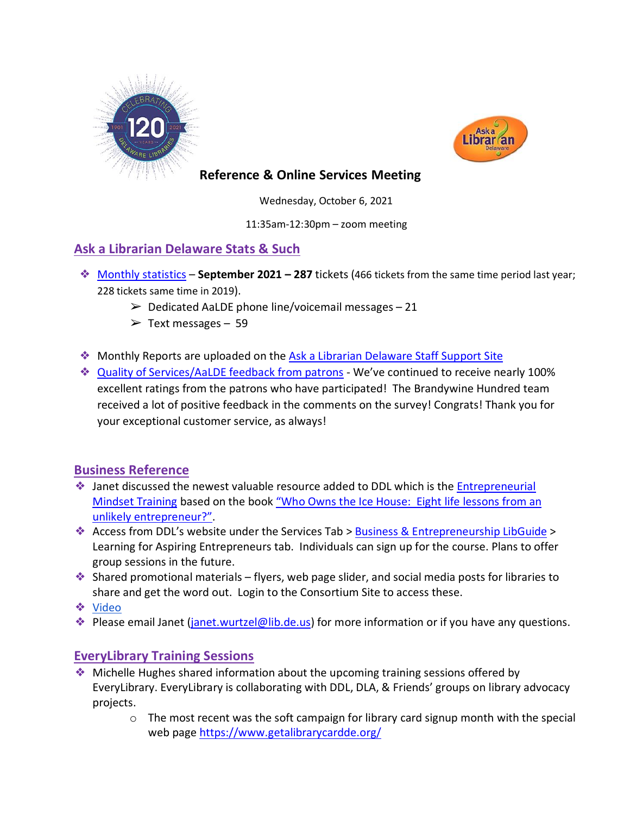



### **Reference & Online Services Meeting**

Wednesday, October 6, 2021

11:35am-12:30pm – zoom meeting

# **Ask a Librarian Delaware Stats & Such**

- ❖ [Monthly statistics](https://aalstaff.lib.de.us/home/reports/fy22-monthly-reports/) **September 2021 – 287** tickets (466 tickets from the same time period last year; 228 tickets same time in 2019).
	- $\geq$  Dedicated AaLDE phone line/voicemail messages 21
	- $\triangleright$  Text messages 59
- ❖ Monthly Reports are uploaded on the [Ask a Librarian Delaware Staff Support Site](https://aalstaff.lib.de.us/home/reports/fy21-monthly-reports/)
- ❖ [Quality of Services/](https://ask.springshare.com/libanswers/faq/2830)AaLDE feedback from patrons We've continued to receive nearly 100% excellent ratings from the patrons who have participated! The Brandywine Hundred team received a lot of positive feedback in the comments on the survey! Congrats! Thank you for your exceptional customer service, as always!

#### **Business Reference**

- ◆ Janet discussed the newest valuable resource added to DDL which is the Entrepreneurial [Mindset Training](https://guides.lib.de.us/c.php?g=584085&p=4033971) based on the book ["Who Owns the Ice House: Eight life lessons from an](https://dlc.lib.de.us/client/en_US/default/search/results?qu=who+owns+the+ice+house&te=)  [unlikely entrepreneur?".](https://dlc.lib.de.us/client/en_US/default/search/results?qu=who+owns+the+ice+house&te=)
- ❖ Access from DDL's website under the Services Tab > [Business & Entrepreneurship LibGuide](https://guides.lib.de.us/business) > Learning for Aspiring Entrepreneurs tab. Individuals can sign up for the course. Plans to offer group sessions in the future.
- ❖ Shared promotional materials flyers, web page slider, and social media posts for libraries to share and get the word out. Login to the Consortium Site to access these.
- ❖ [Video](https://www.youtube.com/watch?v=b5jctYIGAqw&list=PLnedl9HesJz3Iv_gbWDVhSKr5TQSR_GdP&index=10)
- ◆ Please email Janet (*janet.wurtzel@lib.de.us*) for more information or if you have any questions.

# **EveryLibrary Training Sessions**

- ❖ Michelle Hughes shared information about the upcoming training sessions offered by EveryLibrary. EveryLibrary is collaborating with DDL, DLA, & Friends' groups on library advocacy projects.
	- $\circ$  The most recent was the soft campaign for library card signup month with the special web page<https://www.getalibrarycardde.org/>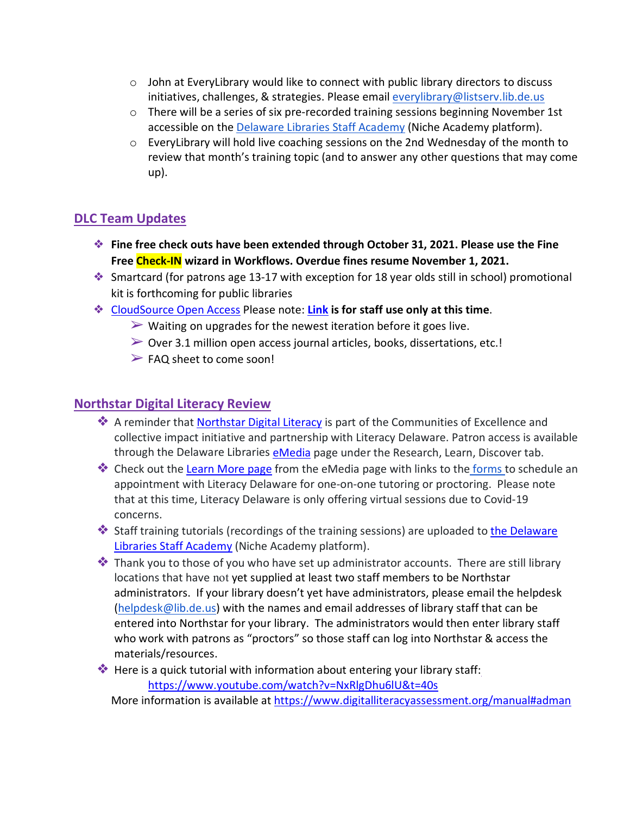- $\circ$  John at EveryLibrary would like to connect with public library directors to discuss initiatives, challenges, & strategies. Please emai[l everylibrary@listserv.lib.de.us](mailto:everylibrary@listserv.lib.de.us)
- $\circ$  There will be a series of six pre-recorded training sessions beginning November 1st accessible on the [Delaware Libraries Staff Academy](https://my.nicheacademy.com/delawarelibrariesstaffacademy) (Niche Academy platform).
- $\circ$  Every Library will hold live coaching sessions on the 2nd Wednesday of the month to review that month's training topic (and to answer any other questions that may come up).

# **DLC Team Updates**

- ❖ **Fine free check outs have been extended through October 31, 2021. Please use the Fine Free Check-IN wizard in Workflows. Overdue fines resume November 1, 2021.**
- ❖ Smartcard (for patrons age 13-17 with exception for 18 year olds still in school) promotional kit is forthcoming for public libraries
- ❖ [CloudSource Open Access](https://dlc.lib.de.us/client/en_US/CSOA/) Please note: **[Link](https://delatest.ent.sirsi.net/client/en_US/CSOA) is for staff use only at this time**.
	- $\triangleright$  Waiting on upgrades for the newest iteration before it goes live.
	- $\triangleright$  Over 3.1 million open access journal articles, books, dissertations, etc.!
	- $\triangleright$  FAQ sheet to come soon!

### **[Northstar Digital Literacy Review](https://www.digitalliteracyassessment.org/about#about)**

- ❖ A reminder that [Northstar Digital Literacy](https://www.digitalliteracyassessment.org/about#about) is part of the Communities of Excellence and collective impact initiative and partnership with Literacy Delaware. Patron access is available through the Delaware Libraries [eMedia](https://lib.de.us/emedia/) page under the Research, Learn, Discover tab.
- **♦ Check out the [Learn More page](https://lib.de.us/northstar/) from the eMedia page with links to the [forms t](https://delawarelibraries.libwizard.com/f/LitDEAppt)o schedule an** appointment with Literacy Delaware for one-on-one tutoring or proctoring. Please note that at this time, Literacy Delaware is only offering virtual sessions due to Covid-19 concerns.
- ❖ Staff training tutorials (recordings of the training sessions) are uploaded to [the Delaware](https://my.nicheacademy.com/delawarelibrariesstaffacademy?category=11828)  [Libraries Staff Academy](https://my.nicheacademy.com/delawarelibrariesstaffacademy?category=11828) (Niche Academy platform).
- ❖ Thank you to those of you who have set up administrator accounts. There are still library locations that have not yet supplied at least two staff members to be Northstar administrators. If your library doesn't yet have administrators, please email the helpdesk [\(helpdesk@lib.de.us\)](mailto:helpdesk@lib.de.us) with the names and email addresses of library staff that can be entered into Northstar for your library. The administrators would then enter library staff who work with patrons as "proctors" so those staff can log into Northstar & access the materials/resources.
- ❖ Here is a quick tutorial with information about entering your library staff: <https://www.youtube.com/watch?v=NxRlgDhu6lU&t=40s>

More information is available at<https://www.digitalliteracyassessment.org/manual#adman>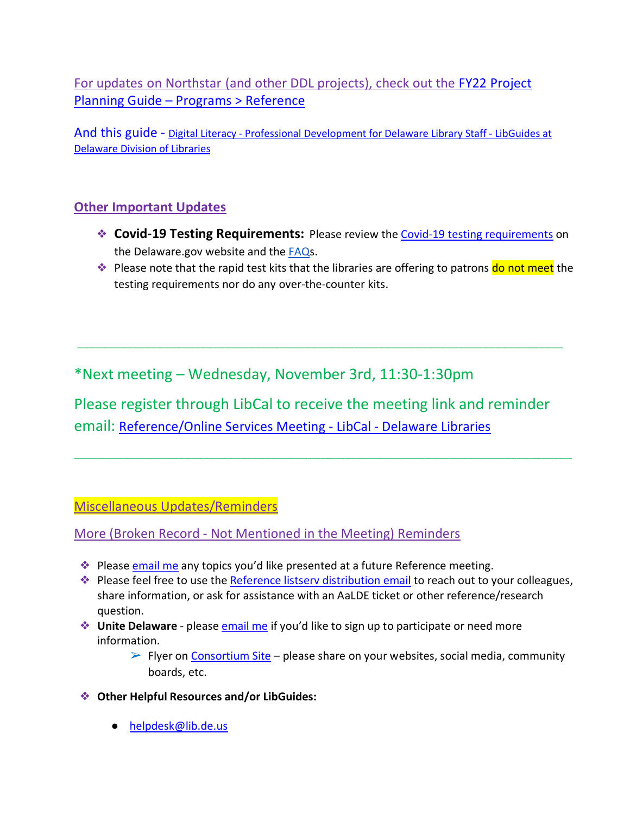For updates on Northstar (and other DDL projects), check out the [FY22 Project](https://guides.lib.de.us/projectplanning/programs)  Planning Guide – [Programs > Reference](https://guides.lib.de.us/projectplanning/programs)

And this guide - Digital Literacy - [Professional Development for Delaware Library Staff -](https://guides.lib.de.us/c.php?g=386101&p=2619968) LibGuides at [Delaware Division of Libraries](https://guides.lib.de.us/c.php?g=386101&p=2619968)

# **Other Important Updates**

- ❖ **Covid-19 Testing Requirements:** Please review th[e Covid-19 testing requirements](https://dhr.delaware.gov/covid19/index.shtml) on the Delaware.gov website and the [FAQs](https://dhr.delaware.gov/policies/documents/covid19-vaccination-testing-faq.pdf?ver-0930a).
- ◆ Please note that the rapid test kits that the libraries are offering to patrons do not meet the testing requirements nor do any over-the-counter kits.

\*Next meeting – Wednesday, November 3rd, 11:30-1:30pm

Please register through LibCal to receive the meeting link and reminder email: [Reference/Online Services Meeting -](https://delawarelibraries.libcal.com/event/7594127) LibCal - Delaware Libraries

\_\_\_\_\_\_\_\_\_\_\_\_\_\_\_\_\_\_\_\_\_\_\_\_\_\_\_\_\_\_\_\_\_\_\_\_\_\_\_\_\_\_\_\_\_\_\_\_\_\_\_\_\_\_\_\_\_\_\_\_\_\_\_\_\_\_\_\_\_\_\_\_\_\_\_\_\_\_\_\_\_

\_\_\_\_\_\_\_\_\_\_\_\_\_\_\_\_\_\_\_\_\_\_\_\_\_\_\_\_\_\_\_\_\_\_\_\_\_\_\_\_\_\_\_\_\_\_\_\_\_\_\_\_\_\_\_\_\_\_\_\_\_\_\_\_\_\_\_\_\_\_\_\_\_\_\_\_\_\_\_

Miscellaneous Updates/Reminders

More (Broken Record - Not Mentioned in the Meeting) Reminders

- **Example 25 Please [email me](mailto:missy.williams@lib.de.us) any topics you'd like presented at a future Reference meeting.**
- ❖ Please feel free to use the [Reference listserv distribution email](mailto:reference@listserv.lib.de.us) to reach out to your colleagues, share information, or ask for assistance with an AaLDE ticket or other reference/research question.
- ❖ **Unite Delaware** please [email me](mailto:missy.williams@lib.de.us) if you'd like to sign up to participate or need more information.
	- $\triangleright$  Flyer on [Consortium Site](https://consortium.lib.de.us/marketing/) please share on your websites, social media, community boards, etc.
- ❖ **Other Helpful Resources and/or LibGuides:**
	- [helpdesk@lib.de.us](mailto:helpdesk@lib.de.us)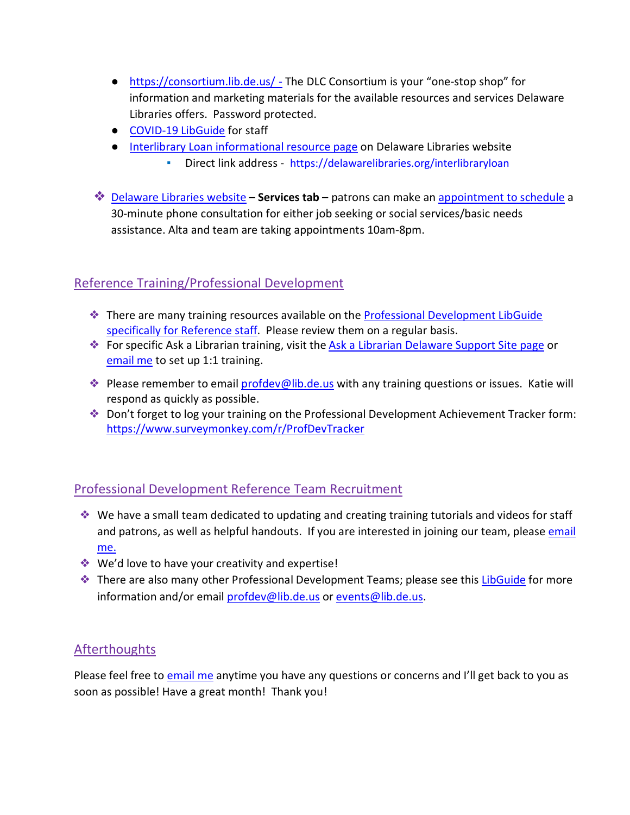- <https://consortium.lib.de.us/> The DLC Consortium is your "one-stop shop" for information and marketing materials for the available resources and services Delaware Libraries offers. Password protected.
- [COVID-19 LibGuide](https://guides.lib.de.us/delibraries/COVID-19) for staff
- [Interlibrary Loan informational resource page](https://lib.de.us/interlibraryloan/) on Delaware Libraries website
	- Direct link address <https://delawarelibraries.org/interlibraryloan>
- ❖ [Delaware Libraries website](https://lib.de.us/) **Services tab** patrons can make an [appointment to schedule](https://delawarelibraries.libcal.com/appointments/) a 30-minute phone consultation for either job seeking or social services/basic needs assistance. Alta and team are taking appointments 10am-8pm.

# Reference Training/Professional Development

- ❖ There are many training resources available on the [Professional Development LibGuide](https://guides.lib.de.us/c.php?g=386101&p=2619930)  [specifically for Reference staff.](https://guides.lib.de.us/c.php?g=386101&p=2619930) Please review them on a regular basis.
- ❖ For specific Ask a Librarian training, visit the [Ask a Librarian Delaware Support Site page](https://aalstaff.lib.de.us/all-meetings-trainings/training-tutorials/) or [email me](mailto:missy.williams@lib.de.us) to set up 1:1 training.
- ❖ Please remember to email [profdev@lib.de.us](mailto:profdev@lib.de.us) with any training questions or issues. Katie will respond as quickly as possible.
- ❖ Don't forget to log your training on the Professional Development Achievement Tracker form: <https://www.surveymonkey.com/r/ProfDevTracker>

# Professional Development Reference Team Recruitment

- ❖ We have a small team dedicated to updating and creating training tutorials and videos for staff and patrons, as well as helpful handouts. If you are interested in joining our team, please [email](mailto:missy.williams@lib.de.us)  [me.](mailto:missy.williams@lib.de.us)
- ❖ We'd love to have your creativity and expertise!
- ❖ There are also many other Professional Development Teams; please see this [LibGuide](https://guides.lib.de.us/profdevteam) for more information and/or email [profdev@lib.de.us](mailto:profdev@lib.de.us) or [events@lib.de.us.](mailto:events@lib.de.us)

# Afterthoughts

Please feel free to [email me](mailto:missy.williams@lib.de.us) anytime you have any questions or concerns and I'll get back to you as soon as possible! Have a great month! Thank you!